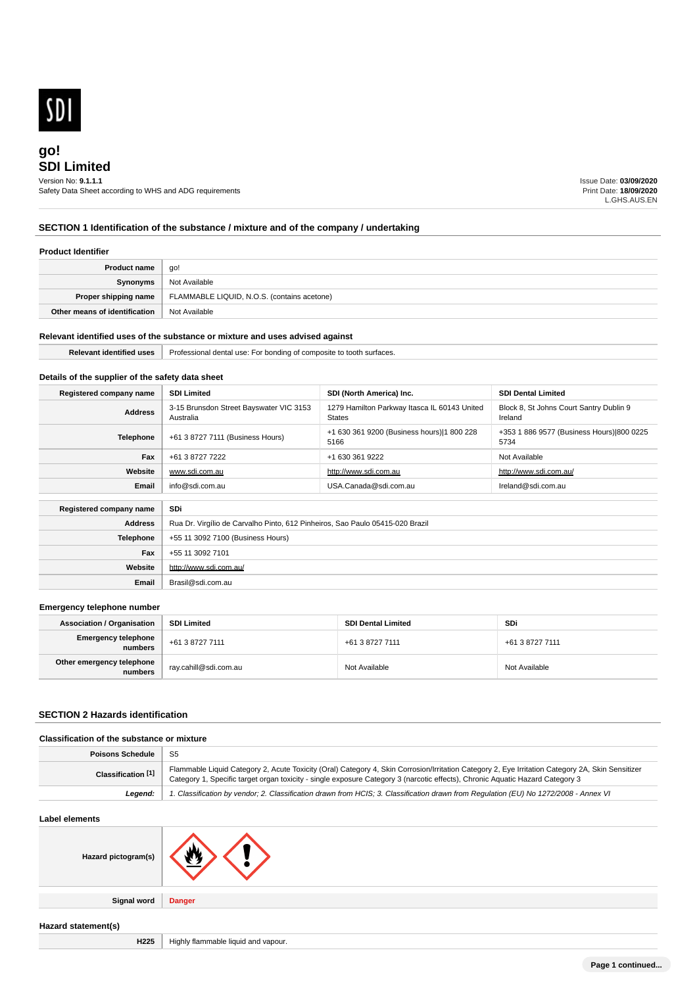

# **SDI Limited go!** Version No: **9.1.1.1**

Safety Data Sheet according to WHS and ADG requirements

Issue Date: **03/09/2020** Print Date: **18/09/2020** L.GHS.AUS.EN

# **SECTION 1 Identification of the substance / mixture and of the company / undertaking**

### **Product Identifier**

| <b>Product name</b>           | go!                                         |  |
|-------------------------------|---------------------------------------------|--|
| Synonyms                      | Not Available                               |  |
| Proper shipping name          | FLAMMABLE LIQUID, N.O.S. (contains acetone) |  |
| Other means of identification | Not Available                               |  |

### **Relevant identified uses of the substance or mixture and uses advised against**

| .<br>-<br>Relevan<br>≅surtaces.<br>identified uses<br>Professional<br><b>bonding</b><br>use:<br>— <i>r</i><br>'onal den<br>: composite<br>വ |  |
|---------------------------------------------------------------------------------------------------------------------------------------------|--|
|---------------------------------------------------------------------------------------------------------------------------------------------|--|

## **Details of the supplier of the safety data sheet**

| Registered company name        | <b>SDI Limited</b>                                                            | SDI (North America) Inc.                                      | <b>SDI Dental Limited</b>                          |
|--------------------------------|-------------------------------------------------------------------------------|---------------------------------------------------------------|----------------------------------------------------|
| <b>Address</b>                 | 3-15 Brunsdon Street Bayswater VIC 3153<br>Australia                          | 1279 Hamilton Parkway Itasca IL 60143 United<br><b>States</b> | Block 8, St Johns Court Santry Dublin 9<br>Ireland |
| <b>Telephone</b>               | +61 3 8727 7111 (Business Hours)                                              | +1 630 361 9200 (Business hours) 1 800 228<br>5166            | +353 1 886 9577 (Business Hours) 800 0225<br>5734  |
| Fax                            | +61 3 8727 7222                                                               | +1 630 361 9222                                               | Not Available                                      |
| Website                        | www.sdi.com.au                                                                | http://www.sdi.com.au                                         | http://www.sdi.com.au/                             |
| Email                          | info@sdi.com.au                                                               | USA.Canada@sdi.com.au                                         | Ireland@sdi.com.au                                 |
| SDi<br>Registered company name |                                                                               |                                                               |                                                    |
| <b>Address</b>                 | Rua Dr. Virgílio de Carvalho Pinto, 612 Pinheiros, Sao Paulo 05415-020 Brazil |                                                               |                                                    |
| <b>Telephone</b>               | +55 11 3092 7100 (Business Hours)                                             |                                                               |                                                    |
| Fax                            | +55 11 3092 7101                                                              |                                                               |                                                    |
| Website                        | http://www.sdi.com.au/                                                        |                                                               |                                                    |
| Email                          | Brasil@sdi.com.au                                                             |                                                               |                                                    |

### **Emergency telephone number**

| <b>Association / Organisation</b>    | <b>SDI Limited</b>    | <b>SDI Dental Limited</b> | SDi             |
|--------------------------------------|-----------------------|---------------------------|-----------------|
| Emergency telephone<br>numbers       | +61 3 8727 7111       | +61 3 8727 7111           | +61 3 8727 7111 |
| Other emergency telephone<br>numbers | ray.cahill@sdi.com.au | Not Available             | Not Available   |

# **SECTION 2 Hazards identification**

| <b>Classification of the substance or mixture</b> |                                                                                                                                                                                                                                                                                   |  |  |
|---------------------------------------------------|-----------------------------------------------------------------------------------------------------------------------------------------------------------------------------------------------------------------------------------------------------------------------------------|--|--|
| <b>Poisons Schedule</b>                           | -S5                                                                                                                                                                                                                                                                               |  |  |
| Classification <sup>[1]</sup>                     | Flammable Liquid Category 2, Acute Toxicity (Oral) Category 4, Skin Corrosion/Irritation Category 2, Eye Irritation Category 2A, Skin Sensitizer<br>Category 1, Specific target organ toxicity - single exposure Category 3 (narcotic effects), Chronic Aquatic Hazard Category 3 |  |  |
| Leaend:                                           | 1. Classification by vendor; 2. Classification drawn from HCIS; 3. Classification drawn from Requlation (EU) No 1272/2008 - Annex VI                                                                                                                                              |  |  |

#### **Label elements**

| Hazard pictogram(s) |               |
|---------------------|---------------|
| <b>Signal word</b>  | <b>Danger</b> |
| Hazard statement(s) |               |

**H225** Highly flammable liquid and vapour.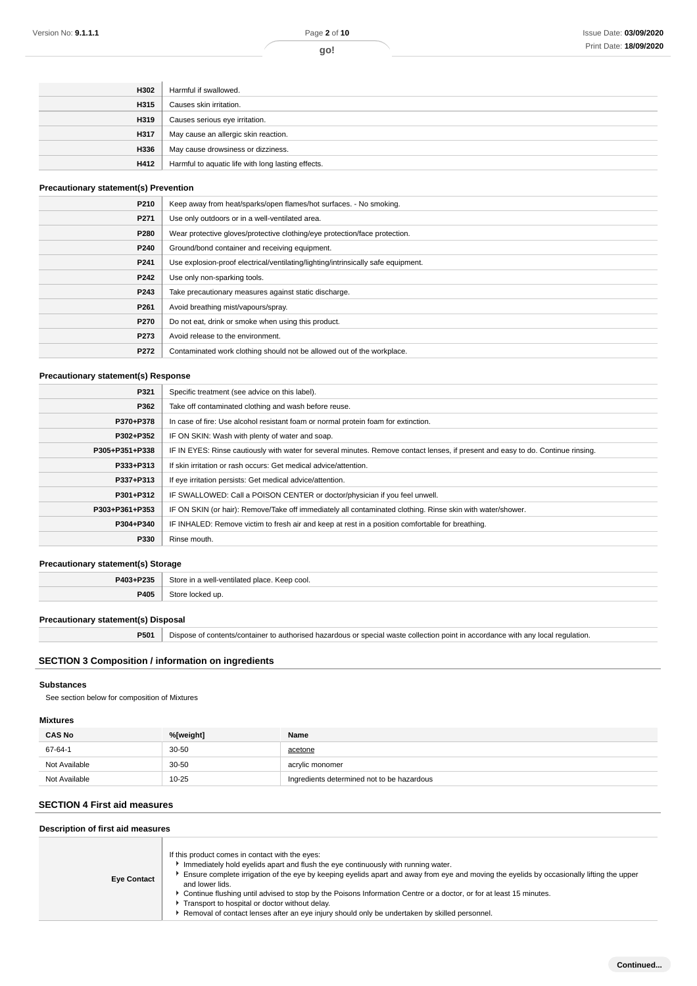| H302 | Harmful if swallowed.                              |
|------|----------------------------------------------------|
| H315 | Causes skin irritation.                            |
| H319 | Causes serious eye irritation.                     |
| H317 | May cause an allergic skin reaction.               |
| H336 | May cause drowsiness or dizziness.                 |
| H412 | Harmful to aquatic life with long lasting effects. |

# **Precautionary statement(s) Prevention**

| P210             | Keep away from heat/sparks/open flames/hot surfaces. - No smoking.                |  |  |
|------------------|-----------------------------------------------------------------------------------|--|--|
| P271             | Use only outdoors or in a well-ventilated area.                                   |  |  |
| P280             | Wear protective gloves/protective clothing/eye protection/face protection.        |  |  |
| P240             | Ground/bond container and receiving equipment.                                    |  |  |
| P <sub>241</sub> | Use explosion-proof electrical/ventilating/lighting/intrinsically safe equipment. |  |  |
| P242             | Use only non-sparking tools.                                                      |  |  |
| P243             | Take precautionary measures against static discharge.                             |  |  |
| P <sub>261</sub> | Avoid breathing mist/vapours/spray.                                               |  |  |
| P270             | Do not eat, drink or smoke when using this product.                               |  |  |
| P273             | Avoid release to the environment.                                                 |  |  |
| P272             | Contaminated work clothing should not be allowed out of the workplace.            |  |  |
|                  |                                                                                   |  |  |

# **Precautionary statement(s) Response**

| P321           | Specific treatment (see advice on this label).                                                                                   |  |  |
|----------------|----------------------------------------------------------------------------------------------------------------------------------|--|--|
| P362           | Take off contaminated clothing and wash before reuse.                                                                            |  |  |
| P370+P378      | In case of fire: Use alcohol resistant foam or normal protein foam for extinction.                                               |  |  |
| P302+P352      | IF ON SKIN: Wash with plenty of water and soap.                                                                                  |  |  |
| P305+P351+P338 | IF IN EYES: Rinse cautiously with water for several minutes. Remove contact lenses, if present and easy to do. Continue rinsing. |  |  |
| P333+P313      | If skin irritation or rash occurs: Get medical advice/attention.                                                                 |  |  |
| P337+P313      | If eye irritation persists: Get medical advice/attention.                                                                        |  |  |
| P301+P312      | IF SWALLOWED: Call a POISON CENTER or doctor/physician if you feel unwell.                                                       |  |  |
| P303+P361+P353 | IF ON SKIN (or hair): Remove/Take off immediately all contaminated clothing. Rinse skin with water/shower.                       |  |  |
| P304+P340      | IF INHALED: Remove victim to fresh air and keep at rest in a position comfortable for breathing.                                 |  |  |
| P330           | Rinse mouth.                                                                                                                     |  |  |
|                |                                                                                                                                  |  |  |

### **Precautionary statement(s) Storage**

| P403+P235 | Store in a well-ventilated place. Keep cool. |  |
|-----------|----------------------------------------------|--|
| P405      | Store locked up                              |  |

### **Precautionary statement(s) Disposal**

**P501** Dispose of contents/container to authorised hazardous or special waste collection point in accordance with any local regulation.

### **SECTION 3 Composition / information on ingredients**

#### **Substances**

See section below for composition of Mixtures

# **Mixtures**

| <b>CAS No</b> | %[weight] | Name                                       |
|---------------|-----------|--------------------------------------------|
| 67-64-1       | $30 - 50$ | acetone                                    |
| Not Available | $30 - 50$ | acrylic monomer                            |
| Not Available | $10 - 25$ | Ingredients determined not to be hazardous |

# **SECTION 4 First aid measures**

## **Description of first aid measures**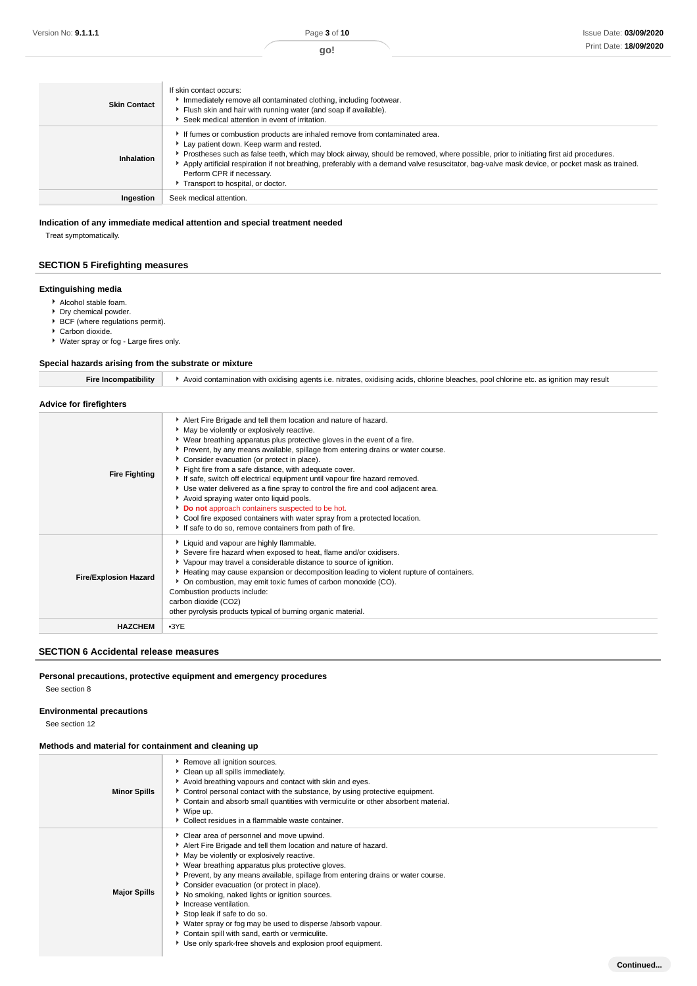**Continued...**

| <b>Skin Contact</b> | If skin contact occurs:<br>Immediately remove all contaminated clothing, including footwear.<br>Flush skin and hair with running water (and soap if available).<br>Seek medical attention in event of irritation.                                                                                                                                                                                                                                                                |
|---------------------|----------------------------------------------------------------------------------------------------------------------------------------------------------------------------------------------------------------------------------------------------------------------------------------------------------------------------------------------------------------------------------------------------------------------------------------------------------------------------------|
| Inhalation          | If fumes or combustion products are inhaled remove from contaminated area.<br>Lay patient down. Keep warm and rested.<br>Prostheses such as false teeth, which may block airway, should be removed, where possible, prior to initiating first aid procedures.<br>Apply artificial respiration if not breathing, preferably with a demand valve resuscitator, bag-valve mask device, or pocket mask as trained.<br>Perform CPR if necessary.<br>Transport to hospital, or doctor. |
| Ingestion           | Seek medical attention.                                                                                                                                                                                                                                                                                                                                                                                                                                                          |

## **Indication of any immediate medical attention and special treatment needed**

Treat symptomatically.

## **SECTION 5 Firefighting measures**

### **Extinguishing media**

- Alcohol stable foam.
- Dry chemical powder.
- ▶ BCF (where regulations permit).
- Carbon dioxide.
- Water spray or fog Large fires only.

## **Special hazards arising from the substrate or mixture**

| Avoid contamination with oxidising agents i.e. nitrates, oxidising acids, chlorine bleaches, pool chlorine etc, as ignition r<br>ˈresult |
|------------------------------------------------------------------------------------------------------------------------------------------|
|                                                                                                                                          |

### **Advice for firefighters**

| <b>Fire Fighting</b>         | Alert Fire Brigade and tell them location and nature of hazard.<br>• May be violently or explosively reactive.<br>• Wear breathing apparatus plus protective gloves in the event of a fire.<br>▶ Prevent, by any means available, spillage from entering drains or water course.<br>• Consider evacuation (or protect in place).<br>Fight fire from a safe distance, with adequate cover.<br>If safe, switch off electrical equipment until vapour fire hazard removed.<br>• Use water delivered as a fine spray to control the fire and cool adjacent area.<br>Avoid spraying water onto liquid pools.<br>Do not approach containers suspected to be hot.<br>► Cool fire exposed containers with water spray from a protected location.<br>If safe to do so, remove containers from path of fire. |
|------------------------------|----------------------------------------------------------------------------------------------------------------------------------------------------------------------------------------------------------------------------------------------------------------------------------------------------------------------------------------------------------------------------------------------------------------------------------------------------------------------------------------------------------------------------------------------------------------------------------------------------------------------------------------------------------------------------------------------------------------------------------------------------------------------------------------------------|
| <b>Fire/Explosion Hazard</b> | Liquid and vapour are highly flammable.<br>Severe fire hazard when exposed to heat, flame and/or oxidisers.<br>• Vapour may travel a considerable distance to source of ignition.<br>Heating may cause expansion or decomposition leading to violent rupture of containers.<br>• On combustion, may emit toxic fumes of carbon monoxide (CO).<br>Combustion products include:<br>carbon dioxide (CO2)<br>other pyrolysis products typical of burning organic material.                                                                                                                                                                                                                                                                                                                             |
| <b>HAZCHEM</b>               | $-3YE$                                                                                                                                                                                                                                                                                                                                                                                                                                                                                                                                                                                                                                                                                                                                                                                             |

### **SECTION 6 Accidental release measures**

### **Personal precautions, protective equipment and emergency procedures**

See section 8

# **Environmental precautions**

See section 12

### **Methods and material for containment and cleaning up**

| <b>Minor Spills</b> | Remove all ignition sources.<br>• Clean up all spills immediately.<br>Avoid breathing vapours and contact with skin and eyes.<br>▶ Control personal contact with the substance, by using protective equipment.<br>▶ Contain and absorb small quantities with vermiculite or other absorbent material.<br>▶ Wipe up.<br>• Collect residues in a flammable waste container.                                                                                                                                                                                                                                                                    |
|---------------------|----------------------------------------------------------------------------------------------------------------------------------------------------------------------------------------------------------------------------------------------------------------------------------------------------------------------------------------------------------------------------------------------------------------------------------------------------------------------------------------------------------------------------------------------------------------------------------------------------------------------------------------------|
| <b>Major Spills</b> | Clear area of personnel and move upwind.<br>Alert Fire Brigade and tell them location and nature of hazard.<br>• May be violently or explosively reactive.<br>▶ Wear breathing apparatus plus protective gloves.<br>▶ Prevent, by any means available, spillage from entering drains or water course.<br>Consider evacuation (or protect in place).<br>No smoking, naked lights or ignition sources.<br>Increase ventilation.<br>Stop leak if safe to do so.<br>▶ Water spray or fog may be used to disperse /absorb vapour.<br>Contain spill with sand, earth or vermiculite.<br>Use only spark-free shovels and explosion proof equipment. |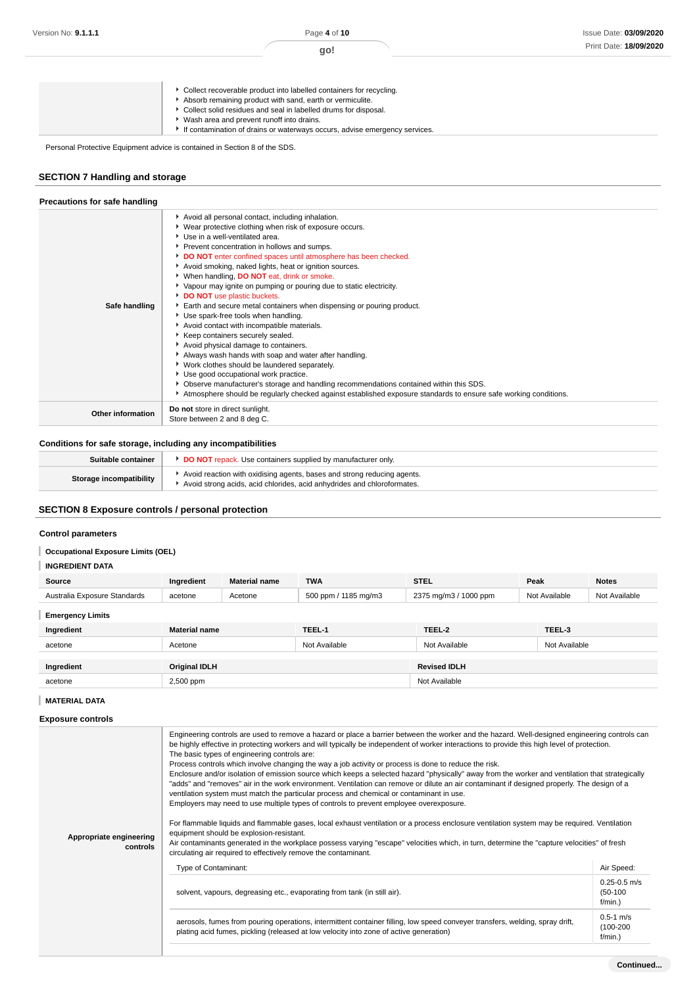| Absorb remaining product with sand, earth or vermiculite.<br>Collect solid residues and seal in labelled drums for disposal.<br>Wash area and prevent runoff into drains.<br>If contamination of drains or waterways occurs, advise emergency services. |  | Collect recoverable product into labelled containers for recycling. |
|---------------------------------------------------------------------------------------------------------------------------------------------------------------------------------------------------------------------------------------------------------|--|---------------------------------------------------------------------|
|---------------------------------------------------------------------------------------------------------------------------------------------------------------------------------------------------------------------------------------------------------|--|---------------------------------------------------------------------|

Personal Protective Equipment advice is contained in Section 8 of the SDS.

# **SECTION 7 Handling and storage**

| Precautions for safe handling |                                                                                                                                                                                                                                                                                                                                                                                                                                                                                                                                                                                                                                                                                                                                                                                                                                                                                                                                                                                                                                                                                               |
|-------------------------------|-----------------------------------------------------------------------------------------------------------------------------------------------------------------------------------------------------------------------------------------------------------------------------------------------------------------------------------------------------------------------------------------------------------------------------------------------------------------------------------------------------------------------------------------------------------------------------------------------------------------------------------------------------------------------------------------------------------------------------------------------------------------------------------------------------------------------------------------------------------------------------------------------------------------------------------------------------------------------------------------------------------------------------------------------------------------------------------------------|
| Safe handling                 | Avoid all personal contact, including inhalation.<br>▶ Wear protective clothing when risk of exposure occurs.<br>Use in a well-ventilated area.<br>Prevent concentration in hollows and sumps.<br>DO NOT enter confined spaces until atmosphere has been checked.<br>Avoid smoking, naked lights, heat or ignition sources.<br>When handling, DO NOT eat, drink or smoke.<br>▶ Vapour may ignite on pumping or pouring due to static electricity.<br>DO NOT use plastic buckets.<br>Earth and secure metal containers when dispensing or pouring product.<br>Use spark-free tools when handling.<br>Avoid contact with incompatible materials.<br>Keep containers securely sealed.<br>Avoid physical damage to containers.<br>Always wash hands with soap and water after handling.<br>• Work clothes should be laundered separately.<br>Use good occupational work practice.<br>• Observe manufacturer's storage and handling recommendations contained within this SDS.<br>Atmosphere should be regularly checked against established exposure standards to ensure safe working conditions. |
| <b>Other information</b>      | Do not store in direct sunlight.<br>Store between 2 and 8 deg C.                                                                                                                                                                                                                                                                                                                                                                                                                                                                                                                                                                                                                                                                                                                                                                                                                                                                                                                                                                                                                              |

### **Conditions for safe storage, including any incompatibilities**

| Suitable container             | DO NOT repack. Use containers supplied by manufacturer only.                                                                                       |
|--------------------------------|----------------------------------------------------------------------------------------------------------------------------------------------------|
| <b>Storage incompatibility</b> | Avoid reaction with oxidising agents, bases and strong reducing agents.<br>Avoid strong acids, acid chlorides, acid anhydrides and chloroformates. |

# **SECTION 8 Exposure controls / personal protection**

## **Control parameters**

### **Occupational Exposure Limits (OEL)**

| Source                       | Ingredient           | <b>Material name</b> | <b>TWA</b>           | <b>STEL</b>           | Peak          | <b>Notes</b>  |
|------------------------------|----------------------|----------------------|----------------------|-----------------------|---------------|---------------|
| Australia Exposure Standards | acetone              | Acetone              | 500 ppm / 1185 mg/m3 | 2375 mg/m3 / 1000 ppm | Not Available | Not Available |
| <b>Emergency Limits</b>      |                      |                      |                      |                       |               |               |
| Ingredient                   | <b>Material name</b> |                      | TEEL-1               | TEEL-2                | TEEL-3        |               |
| acetone                      | Acetone              |                      | Not Available        | Not Available         | Not Available |               |
|                              |                      |                      |                      |                       |               |               |
| Ingredient                   | <b>Original IDLH</b> |                      |                      | <b>Revised IDLH</b>   |               |               |
| acetone                      | 2,500 ppm            |                      | Not Available        |                       |               |               |

## **MATERIAL DATA**

| Appropriate engineering<br>controls | Engineering controls are used to remove a hazard or place a barrier between the worker and the hazard. Well-designed engineering controls can<br>be highly effective in protecting workers and will typically be independent of worker interactions to provide this high level of protection.<br>The basic types of engineering controls are:<br>Process controls which involve changing the way a job activity or process is done to reduce the risk.<br>Enclosure and/or isolation of emission source which keeps a selected hazard "physically" away from the worker and ventilation that strategically<br>"adds" and "removes" air in the work environment. Ventilation can remove or dilute an air contaminant if designed properly. The design of a<br>ventilation system must match the particular process and chemical or contaminant in use.<br>Employers may need to use multiple types of controls to prevent employee overexposure.<br>For flammable liquids and flammable gases, local exhaust ventilation or a process enclosure ventilation system may be required. Ventilation<br>equipment should be explosion-resistant.<br>Air contaminants generated in the workplace possess varying "escape" velocities which, in turn, determine the "capture velocities" of fresh<br>circulating air required to effectively remove the contaminant. |                                              |  |  |  |
|-------------------------------------|--------------------------------------------------------------------------------------------------------------------------------------------------------------------------------------------------------------------------------------------------------------------------------------------------------------------------------------------------------------------------------------------------------------------------------------------------------------------------------------------------------------------------------------------------------------------------------------------------------------------------------------------------------------------------------------------------------------------------------------------------------------------------------------------------------------------------------------------------------------------------------------------------------------------------------------------------------------------------------------------------------------------------------------------------------------------------------------------------------------------------------------------------------------------------------------------------------------------------------------------------------------------------------------------------------------------------------------------------------------|----------------------------------------------|--|--|--|
|                                     | Type of Contaminant:                                                                                                                                                                                                                                                                                                                                                                                                                                                                                                                                                                                                                                                                                                                                                                                                                                                                                                                                                                                                                                                                                                                                                                                                                                                                                                                                         | Air Speed:                                   |  |  |  |
|                                     | solvent, vapours, degreasing etc., evaporating from tank (in still air).                                                                                                                                                                                                                                                                                                                                                                                                                                                                                                                                                                                                                                                                                                                                                                                                                                                                                                                                                                                                                                                                                                                                                                                                                                                                                     | $0.25 - 0.5$ m/s<br>$(50-100)$<br>$f/min.$ ) |  |  |  |
|                                     | aerosols, fumes from pouring operations, intermittent container filling, low speed conveyer transfers, welding, spray drift,<br>plating acid fumes, pickling (released at low velocity into zone of active generation)                                                                                                                                                                                                                                                                                                                                                                                                                                                                                                                                                                                                                                                                                                                                                                                                                                                                                                                                                                                                                                                                                                                                       | $0.5 - 1$ m/s<br>$(100 - 200)$<br>$f/min.$ ) |  |  |  |
|                                     |                                                                                                                                                                                                                                                                                                                                                                                                                                                                                                                                                                                                                                                                                                                                                                                                                                                                                                                                                                                                                                                                                                                                                                                                                                                                                                                                                              |                                              |  |  |  |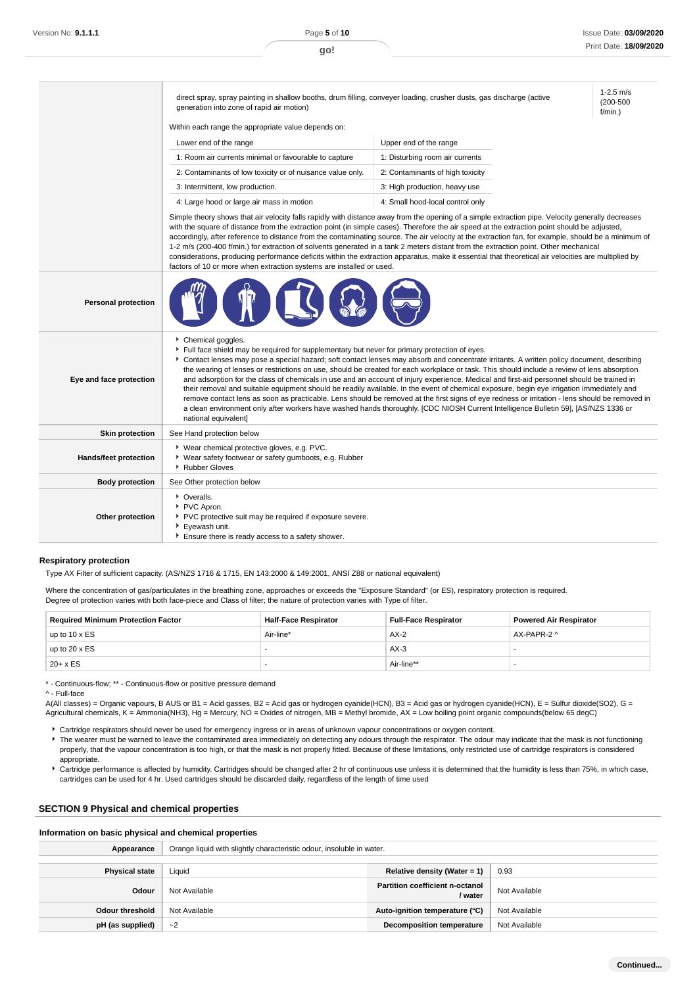1-2.5 m/s (200-500 f/min.)

direct spray, spray painting in shallow booths, drum filling, conveyer loading, crusher dusts, gas discharge (active generation into zone of rapid air motion)

Within each range the appropriate value depends on:

| Lower end of the range                                     | Upper end of the range           |
|------------------------------------------------------------|----------------------------------|
| 1: Room air currents minimal or favourable to capture      | 1: Disturbing room air currents  |
| 2: Contaminants of low toxicity or of nuisance value only. | 2: Contaminants of high toxicity |
| 3: Intermittent, low production.                           | 3: High production, heavy use    |
| 4: Large hood or large air mass in motion                  | 4: Small hood-local control only |

Simple theory shows that air velocity falls rapidly with distance away from the opening of a simple extraction pipe. Velocity generally decreases with the square of distance from the extraction point (in simple cases). Therefore the air speed at the extraction point should be adjusted, accordingly, after reference to distance from the contaminating source. The air velocity at the extraction fan, for example, should be a minimum of 1-2 m/s (200-400 f/min.) for extraction of solvents generated in a tank 2 meters distant from the extraction point. Other mechanical considerations, producing performance deficits within the extraction apparatus, make it essential that theoretical air velocities are multiplied by factors of 10 or more when extraction systems are installed or used.

| <b>Personal protection</b> |                                                                                                                                                                                                                                                                                                                                                                                                                                                                                                                                                                                                                                                                                                                                                                                                                                                                                                                                                                                                                          |
|----------------------------|--------------------------------------------------------------------------------------------------------------------------------------------------------------------------------------------------------------------------------------------------------------------------------------------------------------------------------------------------------------------------------------------------------------------------------------------------------------------------------------------------------------------------------------------------------------------------------------------------------------------------------------------------------------------------------------------------------------------------------------------------------------------------------------------------------------------------------------------------------------------------------------------------------------------------------------------------------------------------------------------------------------------------|
| Eye and face protection    | Chemical goggles.<br>Full face shield may be required for supplementary but never for primary protection of eyes.<br>Contact lenses may pose a special hazard; soft contact lenses may absorb and concentrate irritants. A written policy document, describing<br>the wearing of lenses or restrictions on use, should be created for each workplace or task. This should include a review of lens absorption<br>and adsorption for the class of chemicals in use and an account of injury experience. Medical and first-aid personnel should be trained in<br>their removal and suitable equipment should be readily available. In the event of chemical exposure, begin eye irrigation immediately and<br>remove contact lens as soon as practicable. Lens should be removed at the first signs of eye redness or irritation - lens should be removed in<br>a clean environment only after workers have washed hands thoroughly. [CDC NIOSH Current Intelligence Bulletin 59], [AS/NZS 1336 or<br>national equivalent] |
| <b>Skin protection</b>     | See Hand protection below                                                                                                                                                                                                                                                                                                                                                                                                                                                                                                                                                                                                                                                                                                                                                                                                                                                                                                                                                                                                |
| Hands/feet protection      | ▶ Wear chemical protective gloves, e.g. PVC.<br>▶ Wear safety footwear or safety gumboots, e.g. Rubber<br>▶ Rubber Gloves                                                                                                                                                                                                                                                                                                                                                                                                                                                                                                                                                                                                                                                                                                                                                                                                                                                                                                |
| <b>Body protection</b>     | See Other protection below                                                                                                                                                                                                                                                                                                                                                                                                                                                                                                                                                                                                                                                                                                                                                                                                                                                                                                                                                                                               |
| Other protection           | • Overalls.<br>▶ PVC Apron.<br>▶ PVC protective suit may be required if exposure severe.<br>Eyewash unit.<br>Ensure there is ready access to a safety shower.                                                                                                                                                                                                                                                                                                                                                                                                                                                                                                                                                                                                                                                                                                                                                                                                                                                            |

#### **Respiratory protection**

Type AX Filter of sufficient capacity. (AS/NZS 1716 & 1715, EN 143:2000 & 149:2001, ANSI Z88 or national equivalent)

Where the concentration of gas/particulates in the breathing zone, approaches or exceeds the "Exposure Standard" (or ES), respiratory protection is required. Degree of protection varies with both face-piece and Class of filter; the nature of protection varies with Type of filter.

| <b>Required Minimum Protection Factor</b> | <b>Half-Face Respirator</b> | <b>Full-Face Respirator</b> | <b>Powered Air Respirator</b> |
|-------------------------------------------|-----------------------------|-----------------------------|-------------------------------|
| up to $10 \times ES$                      | Air-line*                   | $AX-2$                      | AX-PAPR-2 ^                   |
| up to $20 \times ES$                      |                             | $AX-3$                      |                               |
| $20 + x ES$                               |                             | Air-line**                  |                               |

\* - Continuous-flow; \*\* - Continuous-flow or positive pressure demand

^ - Full-face

A(All classes) = Organic vapours, B AUS or B1 = Acid gasses, B2 = Acid gas or hydrogen cyanide(HCN), B3 = Acid gas or hydrogen cyanide(HCN), E = Sulfur dioxide(SO2), G = Agricultural chemicals, K = Ammonia(NH3), Hg = Mercury, NO = Oxides of nitrogen, MB = Methyl bromide, AX = Low boiling point organic compounds(below 65 degC)

- Cartridge respirators should never be used for emergency ingress or in areas of unknown vapour concentrations or oxygen content. F The wearer must be warned to leave the contaminated area immediately on detecting any odours through the respirator. The odour may indicate that the mask is not functioning properly, that the vapour concentration is too high, or that the mask is not properly fitted. Because of these limitations, only restricted use of cartridge respirators is considered
- appropriate. Cartridge performance is affected by humidity. Cartridges should be changed after 2 hr of continuous use unless it is determined that the humidity is less than 75%, in which case,
- cartridges can be used for 4 hr. Used cartridges should be discarded daily, regardless of the length of time used

#### **SECTION 9 Physical and chemical properties**

#### **Information on basic physical and chemical properties**

| Appearance            | Orange liquid with slightly characteristic odour, insoluble in water. |                                                   |               |
|-----------------------|-----------------------------------------------------------------------|---------------------------------------------------|---------------|
| <b>Physical state</b> | Liquid                                                                | Relative density (Water = 1)                      | 0.93          |
| Odour                 | Not Available                                                         | <b>Partition coefficient n-octanol</b><br>/ water | Not Available |
| Odour threshold       | Not Available                                                         | Auto-ignition temperature (°C)                    | Not Available |
| pH (as supplied)      | $-2$                                                                  | <b>Decomposition temperature</b>                  | Not Available |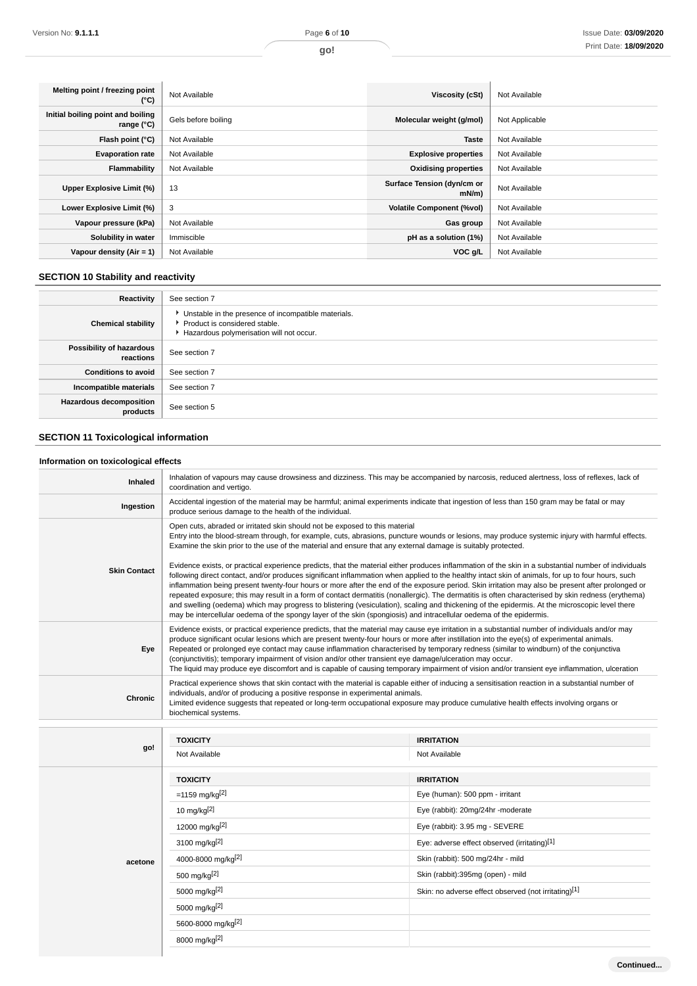| Melting point / freezing point<br>(°C)                   | Not Available       | Viscosity (cSt)                    | Not Available  |
|----------------------------------------------------------|---------------------|------------------------------------|----------------|
| Initial boiling point and boiling<br>range $(^{\circ}C)$ | Gels before boiling | Molecular weight (g/mol)           | Not Applicable |
| Flash point (°C)                                         | Not Available       | <b>Taste</b>                       | Not Available  |
| <b>Evaporation rate</b>                                  | Not Available       | <b>Explosive properties</b>        | Not Available  |
| Flammability                                             | Not Available       | <b>Oxidising properties</b>        | Not Available  |
| Upper Explosive Limit (%)                                | 13                  | Surface Tension (dyn/cm or<br>mN/m | Not Available  |
| Lower Explosive Limit (%)                                | 3                   | <b>Volatile Component (%vol)</b>   | Not Available  |
| Vapour pressure (kPa)                                    | Not Available       | Gas group                          | Not Available  |
| Solubility in water                                      | Immiscible          | pH as a solution (1%)              | Not Available  |
| Vapour density $(Air = 1)$                               | Not Available       | VOC g/L                            | Not Available  |

# **SECTION 10 Stability and reactivity**

| Reactivity                                 | See section 7                                                                                                                        |
|--------------------------------------------|--------------------------------------------------------------------------------------------------------------------------------------|
| <b>Chemical stability</b>                  | • Unstable in the presence of incompatible materials.<br>▶ Product is considered stable.<br>Hazardous polymerisation will not occur. |
| Possibility of hazardous<br>reactions      | See section 7                                                                                                                        |
| <b>Conditions to avoid</b>                 | See section 7                                                                                                                        |
| Incompatible materials                     | See section 7                                                                                                                        |
| <b>Hazardous decomposition</b><br>products | See section 5                                                                                                                        |

# **SECTION 11 Toxicological information**

# **Information on toxicological effects**

| <b>Inhaled</b>      | Inhalation of vapours may cause drowsiness and dizziness. This may be accompanied by narcosis, reduced alertness, loss of reflexes, lack of<br>coordination and vertigo.                                                                                                                                                                                                                                                                                                                                                                                                                                                                                                                                                                                                                                                                                                                      |                                                      |  |
|---------------------|-----------------------------------------------------------------------------------------------------------------------------------------------------------------------------------------------------------------------------------------------------------------------------------------------------------------------------------------------------------------------------------------------------------------------------------------------------------------------------------------------------------------------------------------------------------------------------------------------------------------------------------------------------------------------------------------------------------------------------------------------------------------------------------------------------------------------------------------------------------------------------------------------|------------------------------------------------------|--|
| Ingestion           | Accidental ingestion of the material may be harmful; animal experiments indicate that ingestion of less than 150 gram may be fatal or may<br>produce serious damage to the health of the individual.                                                                                                                                                                                                                                                                                                                                                                                                                                                                                                                                                                                                                                                                                          |                                                      |  |
|                     | Open cuts, abraded or irritated skin should not be exposed to this material<br>Entry into the blood-stream through, for example, cuts, abrasions, puncture wounds or lesions, may produce systemic injury with harmful effects.<br>Examine the skin prior to the use of the material and ensure that any external damage is suitably protected.                                                                                                                                                                                                                                                                                                                                                                                                                                                                                                                                               |                                                      |  |
| <b>Skin Contact</b> | Evidence exists, or practical experience predicts, that the material either produces inflammation of the skin in a substantial number of individuals<br>following direct contact, and/or produces significant inflammation when applied to the healthy intact skin of animals, for up to four hours, such<br>inflammation being present twenty-four hours or more after the end of the exposure period. Skin irritation may also be present after prolonged or<br>repeated exposure; this may result in a form of contact dermatitis (nonallergic). The dermatitis is often characterised by skin redness (erythema)<br>and swelling (oedema) which may progress to blistering (vesiculation), scaling and thickening of the epidermis. At the microscopic level there<br>may be intercellular oedema of the spongy layer of the skin (spongiosis) and intracellular oedema of the epidermis. |                                                      |  |
| Eye                 | Evidence exists, or practical experience predicts, that the material may cause eye irritation in a substantial number of individuals and/or may<br>produce significant ocular lesions which are present twenty-four hours or more after instillation into the eye(s) of experimental animals.<br>Repeated or prolonged eye contact may cause inflammation characterised by temporary redness (similar to windburn) of the conjunctiva<br>(conjunctivitis); temporary impairment of vision and/or other transient eye damage/ulceration may occur.<br>The liquid may produce eye discomfort and is capable of causing temporary impairment of vision and/or transient eye inflammation, ulceration                                                                                                                                                                                             |                                                      |  |
|                     | Practical experience shows that skin contact with the material is capable either of inducing a sensitisation reaction in a substantial number of<br>individuals, and/or of producing a positive response in experimental animals.<br>Limited evidence suggests that repeated or long-term occupational exposure may produce cumulative health effects involving organs or<br>biochemical systems.                                                                                                                                                                                                                                                                                                                                                                                                                                                                                             |                                                      |  |
| Chronic             |                                                                                                                                                                                                                                                                                                                                                                                                                                                                                                                                                                                                                                                                                                                                                                                                                                                                                               |                                                      |  |
|                     |                                                                                                                                                                                                                                                                                                                                                                                                                                                                                                                                                                                                                                                                                                                                                                                                                                                                                               |                                                      |  |
|                     | <b>TOXICITY</b>                                                                                                                                                                                                                                                                                                                                                                                                                                                                                                                                                                                                                                                                                                                                                                                                                                                                               | <b>IRRITATION</b>                                    |  |
| go!                 | Not Available                                                                                                                                                                                                                                                                                                                                                                                                                                                                                                                                                                                                                                                                                                                                                                                                                                                                                 | Not Available                                        |  |
|                     | <b>TOXICITY</b>                                                                                                                                                                                                                                                                                                                                                                                                                                                                                                                                                                                                                                                                                                                                                                                                                                                                               | <b>IRRITATION</b>                                    |  |
|                     | =1159 mg/kg <sup>[2]</sup>                                                                                                                                                                                                                                                                                                                                                                                                                                                                                                                                                                                                                                                                                                                                                                                                                                                                    | Eye (human): 500 ppm - irritant                      |  |
|                     | 10 mg/kg $[2]$                                                                                                                                                                                                                                                                                                                                                                                                                                                                                                                                                                                                                                                                                                                                                                                                                                                                                | Eye (rabbit): 20mg/24hr -moderate                    |  |
|                     | 12000 mg/kg[2]                                                                                                                                                                                                                                                                                                                                                                                                                                                                                                                                                                                                                                                                                                                                                                                                                                                                                | Eye (rabbit): 3.95 mg - SEVERE                       |  |
|                     | 3100 mg/kg <sup>[2]</sup>                                                                                                                                                                                                                                                                                                                                                                                                                                                                                                                                                                                                                                                                                                                                                                                                                                                                     | Eye: adverse effect observed (irritating)[1]         |  |
| acetone             | 4000-8000 mg/kg[2]                                                                                                                                                                                                                                                                                                                                                                                                                                                                                                                                                                                                                                                                                                                                                                                                                                                                            | Skin (rabbit): 500 mg/24hr - mild                    |  |
|                     | 500 mg/kg[2]                                                                                                                                                                                                                                                                                                                                                                                                                                                                                                                                                                                                                                                                                                                                                                                                                                                                                  | Skin (rabbit):395mg (open) - mild                    |  |
|                     | 5000 mg/kg[2]                                                                                                                                                                                                                                                                                                                                                                                                                                                                                                                                                                                                                                                                                                                                                                                                                                                                                 | Skin: no adverse effect observed (not irritating)[1] |  |
|                     | 5000 mg/kg[2]                                                                                                                                                                                                                                                                                                                                                                                                                                                                                                                                                                                                                                                                                                                                                                                                                                                                                 |                                                      |  |
|                     | 5600-8000 mg/kg[2]                                                                                                                                                                                                                                                                                                                                                                                                                                                                                                                                                                                                                                                                                                                                                                                                                                                                            |                                                      |  |
|                     | 8000 mg/kg[2]                                                                                                                                                                                                                                                                                                                                                                                                                                                                                                                                                                                                                                                                                                                                                                                                                                                                                 |                                                      |  |

**Continued...**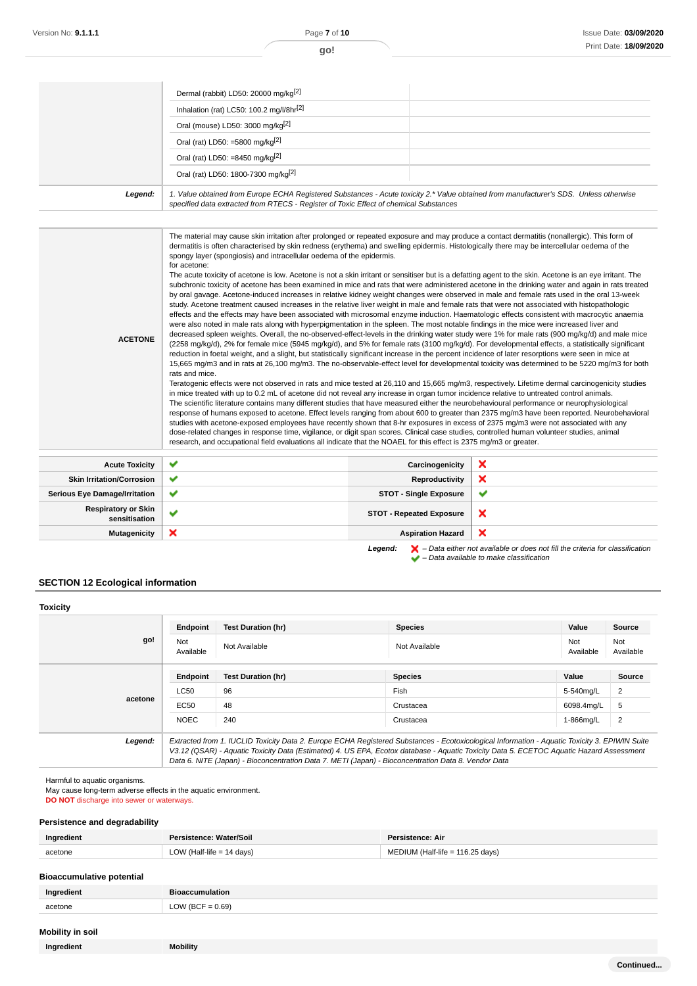|         | Dermal (rabbit) LD50: 20000 mg/kg <sup>[2]</sup>                                                                                                                                                                                |  |
|---------|---------------------------------------------------------------------------------------------------------------------------------------------------------------------------------------------------------------------------------|--|
|         | Inhalation (rat) LC50: 100.2 mg/l/8hr[2]                                                                                                                                                                                        |  |
|         | Oral (mouse) LD50: 3000 mg/kg <sup>[2]</sup>                                                                                                                                                                                    |  |
|         | Oral (rat) LD50: =5800 mg/kg <sup>[2]</sup>                                                                                                                                                                                     |  |
|         | Oral (rat) LD50: =8450 mg/kg <sup>[2]</sup>                                                                                                                                                                                     |  |
|         | Oral (rat) LD50: 1800-7300 mg/kg <sup>[2]</sup>                                                                                                                                                                                 |  |
| Legend: | 1. Value obtained from Europe ECHA Registered Substances - Acute toxicity 2.* Value obtained from manufacturer's SDS. Unless otherwise<br>specified data extracted from RTECS - Register of Toxic Effect of chemical Substances |  |
|         |                                                                                                                                                                                                                                 |  |
|         |                                                                                                                                                                                                                                 |  |

| <b>ACETONE</b>                              | The material may cause skin irritation after prolonged or repeated exposure and may produce a contact dermatitis (nonallergic). This form of<br>dermatitis is often characterised by skin redness (erythema) and swelling epidermis. Histologically there may be intercellular oedema of the<br>spongy layer (spongiosis) and intracellular oedema of the epidermis.<br>for acetone:<br>The acute toxicity of acetone is low. Acetone is not a skin irritant or sensitiser but is a defatting agent to the skin. Acetone is an eye irritant. The<br>subchronic toxicity of acetone has been examined in mice and rats that were administered acetone in the drinking water and again in rats treated<br>by oral gavage. Acetone-induced increases in relative kidney weight changes were observed in male and female rats used in the oral 13-week<br>study. Acetone treatment caused increases in the relative liver weight in male and female rats that were not associated with histopathologic<br>effects and the effects may have been associated with microsomal enzyme induction. Haematologic effects consistent with macrocytic anaemia<br>were also noted in male rats along with hyperpigmentation in the spleen. The most notable findings in the mice were increased liver and<br>decreased spleen weights. Overall, the no-observed-effect-levels in the drinking water study were 1% for male rats (900 mg/kg/d) and male mice<br>(2258 mg/kg/d), 2% for female mice (5945 mg/kg/d), and 5% for female rats (3100 mg/kg/d). For developmental effects, a statistically significant<br>reduction in foetal weight, and a slight, but statistically significant increase in the percent incidence of later resorptions were seen in mice at<br>15,665 mg/m3 and in rats at 26,100 mg/m3. The no-observable-effect level for developmental toxicity was determined to be 5220 mg/m3 for both<br>rats and mice.<br>Teratogenic effects were not observed in rats and mice tested at 26,110 and 15,665 mg/m3, respectively. Lifetime dermal carcinogenicity studies<br>in mice treated with up to 0.2 mL of acetone did not reveal any increase in organ tumor incidence relative to untreated control animals.<br>The scientific literature contains many different studies that have measured either the neurobehavioural performance or neurophysiological<br>studies with acetone-exposed employees have recently shown that 8-hr exposures in excess of 2375 mg/m3 were not associated with any<br>dose-related changes in response time, vigilance, or digit span scores. Clinical case studies, controlled human volunteer studies, animal<br>research, and occupational field evaluations all indicate that the NOAEL for this effect is 2375 mg/m3 or greater. |                                 | response of humans exposed to acetone. Effect levels ranging from about 600 to greater than 2375 mg/m3 have been reported. Neurobehavioral |
|---------------------------------------------|-----------------------------------------------------------------------------------------------------------------------------------------------------------------------------------------------------------------------------------------------------------------------------------------------------------------------------------------------------------------------------------------------------------------------------------------------------------------------------------------------------------------------------------------------------------------------------------------------------------------------------------------------------------------------------------------------------------------------------------------------------------------------------------------------------------------------------------------------------------------------------------------------------------------------------------------------------------------------------------------------------------------------------------------------------------------------------------------------------------------------------------------------------------------------------------------------------------------------------------------------------------------------------------------------------------------------------------------------------------------------------------------------------------------------------------------------------------------------------------------------------------------------------------------------------------------------------------------------------------------------------------------------------------------------------------------------------------------------------------------------------------------------------------------------------------------------------------------------------------------------------------------------------------------------------------------------------------------------------------------------------------------------------------------------------------------------------------------------------------------------------------------------------------------------------------------------------------------------------------------------------------------------------------------------------------------------------------------------------------------------------------------------------------------------------------------------------------------------------------------------------------------------------------------------------------------------------------------------------------------------------------------------------------------------------------------------------------------------------------------------------------------------------------|---------------------------------|--------------------------------------------------------------------------------------------------------------------------------------------|
| <b>Acute Toxicity</b>                       | ✔                                                                                                                                                                                                                                                                                                                                                                                                                                                                                                                                                                                                                                                                                                                                                                                                                                                                                                                                                                                                                                                                                                                                                                                                                                                                                                                                                                                                                                                                                                                                                                                                                                                                                                                                                                                                                                                                                                                                                                                                                                                                                                                                                                                                                                                                                                                                                                                                                                                                                                                                                                                                                                                                                                                                                                                 | Carcinogenicity                 | ×                                                                                                                                          |
| <b>Skin Irritation/Corrosion</b>            | ✔                                                                                                                                                                                                                                                                                                                                                                                                                                                                                                                                                                                                                                                                                                                                                                                                                                                                                                                                                                                                                                                                                                                                                                                                                                                                                                                                                                                                                                                                                                                                                                                                                                                                                                                                                                                                                                                                                                                                                                                                                                                                                                                                                                                                                                                                                                                                                                                                                                                                                                                                                                                                                                                                                                                                                                                 | Reproductivity                  | ×                                                                                                                                          |
| <b>Serious Eye Damage/Irritation</b>        | ✔                                                                                                                                                                                                                                                                                                                                                                                                                                                                                                                                                                                                                                                                                                                                                                                                                                                                                                                                                                                                                                                                                                                                                                                                                                                                                                                                                                                                                                                                                                                                                                                                                                                                                                                                                                                                                                                                                                                                                                                                                                                                                                                                                                                                                                                                                                                                                                                                                                                                                                                                                                                                                                                                                                                                                                                 | <b>STOT - Single Exposure</b>   | ✔                                                                                                                                          |
| <b>Respiratory or Skin</b><br>sensitisation | ✔                                                                                                                                                                                                                                                                                                                                                                                                                                                                                                                                                                                                                                                                                                                                                                                                                                                                                                                                                                                                                                                                                                                                                                                                                                                                                                                                                                                                                                                                                                                                                                                                                                                                                                                                                                                                                                                                                                                                                                                                                                                                                                                                                                                                                                                                                                                                                                                                                                                                                                                                                                                                                                                                                                                                                                                 | <b>STOT - Repeated Exposure</b> | $\boldsymbol{\mathsf{x}}$                                                                                                                  |

Legend:  $\blacktriangleright$  - Data either not available or does not fill the criteria for classification **Mutagenicity X Aspiration Hazard** 

 $\blacktriangleright$  – Data available to make classification

 $\boldsymbol{\mathsf{x}}$ 

# **SECTION 12 Ecological information**

| <b>Toxicity</b> |                  |                                                                                                                                                                                                                                                                                                                                                                                                 |                |                  |                  |
|-----------------|------------------|-------------------------------------------------------------------------------------------------------------------------------------------------------------------------------------------------------------------------------------------------------------------------------------------------------------------------------------------------------------------------------------------------|----------------|------------------|------------------|
|                 | Endpoint         | <b>Test Duration (hr)</b>                                                                                                                                                                                                                                                                                                                                                                       | <b>Species</b> | Value            | Source           |
| go!             | Not<br>Available | Not Available                                                                                                                                                                                                                                                                                                                                                                                   | Not Available  | Not<br>Available | Not<br>Available |
|                 | Endpoint         | <b>Test Duration (hr)</b>                                                                                                                                                                                                                                                                                                                                                                       | <b>Species</b> | Value            | Source           |
|                 | LC50             | 96                                                                                                                                                                                                                                                                                                                                                                                              | Fish           | 5-540mg/L        | 2                |
| acetone         | EC50             | 48                                                                                                                                                                                                                                                                                                                                                                                              | Crustacea      | 6098.4mg/L       | 5                |
|                 | <b>NOEC</b>      | 240                                                                                                                                                                                                                                                                                                                                                                                             | Crustacea      | 1-866mg/L        | 2                |
| Legend:         |                  | Extracted from 1. IUCLID Toxicity Data 2. Europe ECHA Registered Substances - Ecotoxicological Information - Aquatic Toxicity 3. EPIWIN Suite<br>V3.12 (QSAR) - Aquatic Toxicity Data (Estimated) 4. US EPA, Ecotox database - Aquatic Toxicity Data 5. ECETOC Aquatic Hazard Assessment<br>Data 6. NITE (Japan) - Bioconcentration Data 7. METI (Japan) - Bioconcentration Data 8. Vendor Data |                |                  |                  |

Harmful to aquatic organisms.

May cause long-term adverse effects in the aquatic environment.

**DO NOT** discharge into sewer or waterways.

## **Persistence and degradability**

| Ingredient | Water/Soil | : Air                                      |
|------------|------------|--------------------------------------------|
| acetone    | davs       | $116.25$ days)<br>-life =<br>$\sim$ $\sim$ |

## **Bioaccumulative potential**

| Ingredient | <b>Bioaccumulation</b> |
|------------|------------------------|
| acetone    | LOW (BCF = $0.69$ )    |
|            |                        |

# **Mobility in soil**

**Ingredient Mobility**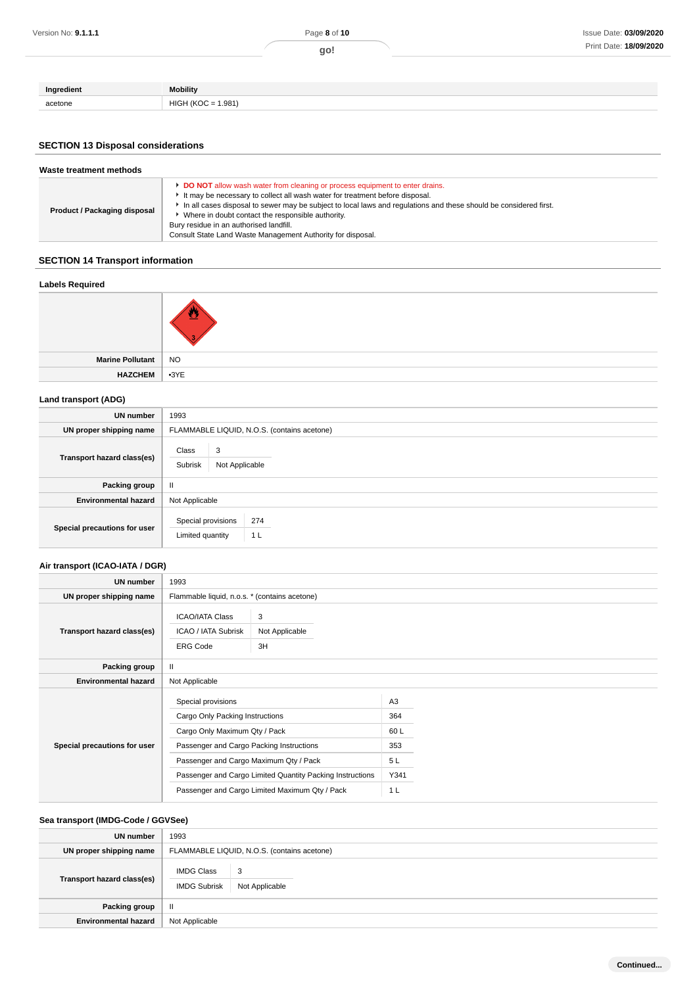| Ingredient | <b>Mobility</b>                             |
|------------|---------------------------------------------|
| acetone    | .981)<br><b>IKOC</b><br>HIGF<br>H<br>$\sim$ |

# **SECTION 13 Disposal considerations**

| Waste treatment methods             |                                                                                                                                                                                                                                                                                                                                                                                                                                                        |  |  |  |  |
|-------------------------------------|--------------------------------------------------------------------------------------------------------------------------------------------------------------------------------------------------------------------------------------------------------------------------------------------------------------------------------------------------------------------------------------------------------------------------------------------------------|--|--|--|--|
| <b>Product / Packaging disposal</b> | <b>DO NOT</b> allow wash water from cleaning or process equipment to enter drains.<br>It may be necessary to collect all wash water for treatment before disposal.<br>In all cases disposal to sewer may be subject to local laws and regulations and these should be considered first.<br>Where in doubt contact the responsible authority.<br>Bury residue in an authorised landfill.<br>Consult State Land Waste Management Authority for disposal. |  |  |  |  |

# **SECTION 14 Transport information**

### **Labels Required**

| Marine Pollutant   NO |  |
|-----------------------|--|
| HAZCHEM 3YE           |  |

### **Land transport (ADG)**

| <b>UN</b> number             | 1993                                                            |  |  |  |
|------------------------------|-----------------------------------------------------------------|--|--|--|
| UN proper shipping name      | FLAMMABLE LIQUID, N.O.S. (contains acetone)                     |  |  |  |
| Transport hazard class(es)   | 3<br>Class<br>Subrisk<br>Not Applicable                         |  |  |  |
| Packing group                | $\mathbf{I}$                                                    |  |  |  |
| <b>Environmental hazard</b>  | Not Applicable                                                  |  |  |  |
| Special precautions for user | Special provisions<br>274<br>Limited quantity<br>1 <sub>L</sub> |  |  |  |

# **Air transport (ICAO-IATA / DGR)**

| <b>UN number</b>             | 1993                                                                    |                           |  |  |
|------------------------------|-------------------------------------------------------------------------|---------------------------|--|--|
| UN proper shipping name      | Flammable liquid, n.o.s. * (contains acetone)                           |                           |  |  |
| Transport hazard class(es)   | <b>ICAO/IATA Class</b><br><b>ICAO / IATA Subrisk</b><br><b>ERG Code</b> | 3<br>Not Applicable<br>3H |  |  |
| Packing group                | $\mathbf{II}$                                                           |                           |  |  |
| <b>Environmental hazard</b>  | Not Applicable                                                          |                           |  |  |
| Special precautions for user | Special provisions                                                      |                           |  |  |
|                              | Cargo Only Packing Instructions                                         |                           |  |  |
|                              | Cargo Only Maximum Qty / Pack                                           |                           |  |  |
|                              | Passenger and Cargo Packing Instructions                                |                           |  |  |
|                              | Passenger and Cargo Maximum Qty / Pack                                  |                           |  |  |
|                              | Passenger and Cargo Limited Quantity Packing Instructions               |                           |  |  |
|                              | Passenger and Cargo Limited Maximum Qty / Pack                          |                           |  |  |

# **Sea transport (IMDG-Code / GGVSee)**

| UN number                   | 1993                                        |                      |  |
|-----------------------------|---------------------------------------------|----------------------|--|
| UN proper shipping name     | FLAMMABLE LIQUID, N.O.S. (contains acetone) |                      |  |
| Transport hazard class(es)  | <b>IMDG Class</b><br><b>IMDG Subrisk</b>    | -3<br>Not Applicable |  |
| Packing group               | Ш                                           |                      |  |
| <b>Environmental hazard</b> | Not Applicable                              |                      |  |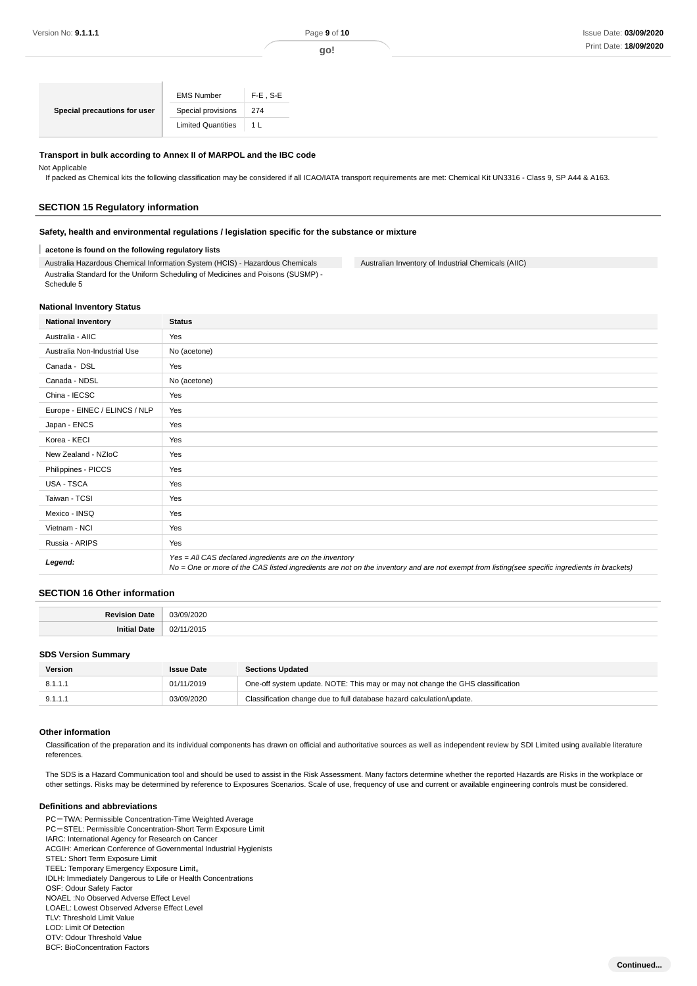|                              | <b>EMS Number</b>         | $F-E$ , S-E |
|------------------------------|---------------------------|-------------|
| Special precautions for user | Special provisions        | 274         |
|                              | <b>Limited Quantities</b> | L.          |

#### **Transport in bulk according to Annex II of MARPOL and the IBC code**

Not Applicable

If packed as Chemical kits the following classification may be considered if all ICAO/IATA transport requirements are met: Chemical Kit UN3316 - Class 9, SP A44 & A163.

#### **SECTION 15 Regulatory information**

#### **Safety, health and environmental regulations / legislation specific for the substance or mixture**

**acetone is found on the following regulatory lists** T

Australia Hazardous Chemical Information System (HCIS) - Hazardous Chemicals Australia Standard for the Uniform Scheduling of Medicines and Poisons (SUSMP) - Schedule 5

Australian Inventory of Industrial Chemicals (AIIC)

#### **National Inventory Status**

| <b>National Inventory</b>     | <b>Status</b>                                                                                                                                                                                            |
|-------------------------------|----------------------------------------------------------------------------------------------------------------------------------------------------------------------------------------------------------|
| Australia - AIIC              | Yes                                                                                                                                                                                                      |
| Australia Non-Industrial Use  | No (acetone)                                                                                                                                                                                             |
| Canada - DSL                  | Yes                                                                                                                                                                                                      |
| Canada - NDSL                 | No (acetone)                                                                                                                                                                                             |
| China - IECSC                 | Yes                                                                                                                                                                                                      |
| Europe - EINEC / ELINCS / NLP | Yes                                                                                                                                                                                                      |
| Japan - ENCS                  | Yes                                                                                                                                                                                                      |
| Korea - KECI                  | Yes                                                                                                                                                                                                      |
| New Zealand - NZIoC           | Yes                                                                                                                                                                                                      |
| Philippines - PICCS           | Yes                                                                                                                                                                                                      |
| USA - TSCA                    | Yes                                                                                                                                                                                                      |
| Taiwan - TCSI                 | Yes                                                                                                                                                                                                      |
| Mexico - INSQ                 | Yes                                                                                                                                                                                                      |
| Vietnam - NCI                 | Yes                                                                                                                                                                                                      |
| Russia - ARIPS                | Yes                                                                                                                                                                                                      |
| Legend:                       | Yes = All CAS declared ingredients are on the inventory<br>No = One or more of the CAS listed ingredients are not on the inventory and are not exempt from listing(see specific ingredients in brackets) |

#### **SECTION 16 Other information**

| <br>^^ |
|--------|
| ^^     |

#### **SDS Version Summary**

| Version | <b>Issue Date</b> | <b>Sections Updated</b>                                                        |  |  |
|---------|-------------------|--------------------------------------------------------------------------------|--|--|
| 8.1.1.1 | 01/11/2019        | One-off system update. NOTE: This may or may not change the GHS classification |  |  |
| 9.1.1.1 | 03/09/2020        | Classification change due to full database hazard calculation/update.          |  |  |

#### **Other information**

Classification of the preparation and its individual components has drawn on official and authoritative sources as well as independent review by SDI Limited using available literature references.

The SDS is a Hazard Communication tool and should be used to assist in the Risk Assessment. Many factors determine whether the reported Hazards are Risks in the workplace or other settings. Risks may be determined by reference to Exposures Scenarios. Scale of use, frequency of use and current or available engineering controls must be considered.

#### **Definitions and abbreviations**

PC-TWA: Permissible Concentration-Time Weighted Average PC-STEL: Permissible Concentration-Short Term Exposure Limit IARC: International Agency for Research on Cancer ACGIH: American Conference of Governmental Industrial Hygienists STEL: Short Term Exposure Limit TEEL: Temporary Emergency Exposure Limit。 IDLH: Immediately Dangerous to Life or Health Concentrations OSF: Odour Safety Factor NOAEL :No Observed Adverse Effect Level LOAEL: Lowest Observed Adverse Effect Level TLV: Threshold Limit Value LOD: Limit Of Detection OTV: Odour Threshold Value BCF: BioConcentration Factors